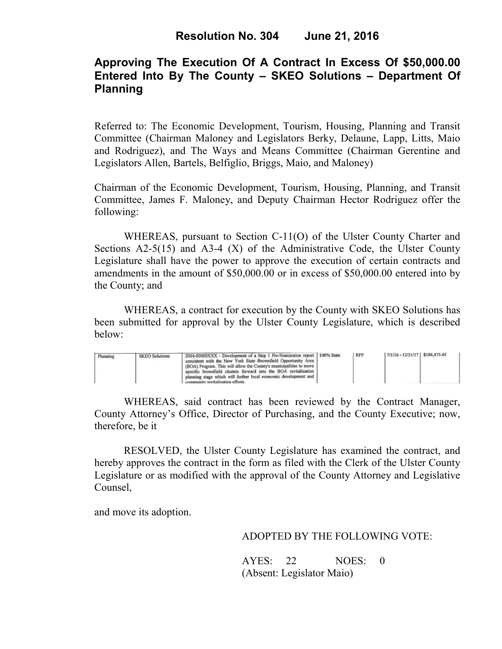# **Approving The Execution Of A Contract In Excess Of \$50,000.00 Entered Into By The County – SKEO Solutions – Department Of Planning**

Referred to: The Economic Development, Tourism, Housing, Planning and Transit Committee (Chairman Maloney and Legislators Berky, Delaune, Lapp, Litts, Maio and Rodriguez), and The Ways and Means Committee (Chairman Gerentine and Legislators Allen, Bartels, Belfiglio, Briggs, Maio, and Maloney)

Chairman of the Economic Development, Tourism, Housing, Planning, and Transit Committee, James F. Maloney, and Deputy Chairman Hector Rodriguez offer the following:

WHEREAS, pursuant to Section C-11(O) of the Ulster County Charter and Sections  $A2-5(15)$  and  $A3-4(X)$  of the Administrative Code, the Ulster County Legislature shall have the power to approve the execution of certain contracts and amendments in the amount of \$50,000.00 or in excess of \$50,000.00 entered into by the County; and

 WHEREAS, a contract for execution by the County with SKEO Solutions has been submitted for approval by the Ulster County Legislature, which is described below:

| Planning | <b>SKEO Solutions</b> | 2016-00000XXX - Development of a Step 1 Pre-Nomination report 100% State<br>consistent with the New York State Brownfield Opportunity Area<br>(BOA) Program. This will allow the County's municipalities to move  <br>specific brownfield clusters forward into the BOA revitalization<br>planning stage which will further local economic development and<br>community revitalization efforts. |  | <b>RFP</b> | 7/1/16 - 12/31/17   \$184,473.45 |  |  |
|----------|-----------------------|-------------------------------------------------------------------------------------------------------------------------------------------------------------------------------------------------------------------------------------------------------------------------------------------------------------------------------------------------------------------------------------------------|--|------------|----------------------------------|--|--|
|----------|-----------------------|-------------------------------------------------------------------------------------------------------------------------------------------------------------------------------------------------------------------------------------------------------------------------------------------------------------------------------------------------------------------------------------------------|--|------------|----------------------------------|--|--|

WHEREAS, said contract has been reviewed by the Contract Manager, County Attorney's Office, Director of Purchasing, and the County Executive; now, therefore, be it

RESOLVED, the Ulster County Legislature has examined the contract, and hereby approves the contract in the form as filed with the Clerk of the Ulster County Legislature or as modified with the approval of the County Attorney and Legislative Counsel,

and move its adoption.

### ADOPTED BY THE FOLLOWING VOTE:

AYES: 22 NOES: 0 (Absent: Legislator Maio)